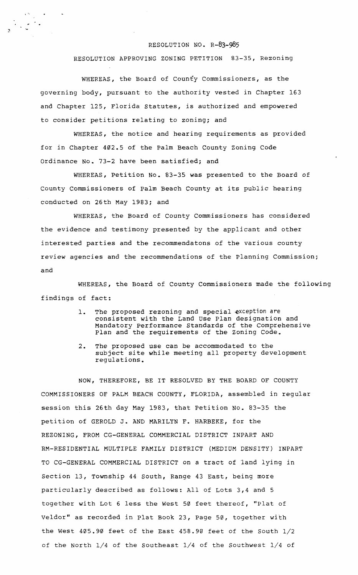## RESOLUTION NO. R-83-985

RESOLUTION APPROVING ZONING PETITION 83-35, Rezoning

WHEREAS, the Board of County Commissioners, as the governing body, pursuant to the authority vested in Chapter 163 and Chapter 125, Florida Statutes, is authorized and empowered to consider petitions relating to zoning; and

, "

WHEREAS, the notice and hearing requirements as provided for *in* Chapter 402.5 of the Palm Beach County Zoning Code Ordinance No. 73-2 have been satisfied; and

WHEREAS, Petition No. 83-35 was presented to the Board of County Commissioners of Palm Beach County at its public hearing conducted on 26th May 1983; and

WHEREAS, the Board of County Commissioners has considered the evidence and testimony presented by the applicant and other interested parties and the recommendatons of the various county review agencies and the recommendations of the planning Commission; and

WHEREAS, the Board of County Commissioners made the following findings of fact:

- 1. The proposed rezoning and special exception are consistent with the Land Use Plan designation and Mandatory Performance Standards of the Comprehensive Plan and the requirements of the Zoning Code.
- 2. The proposed use can be accommodated to the subject site while meeting all property development regulations.

NOW, THEREFORE, BE IT RESOLVED BY THE BOARD OF COUNTY COMMISSIONERS OF PALM BEACH COUNTY, FLORIDA, assembled in regular session this 26th day May 1983, that Petition No. 83-35 the petition of GEROLD J. AND MARILYN F. HARBEKE, for the REZONING, FROM CG-GENERAL COMMERCIAL DISTRICT INPART AND RM-RESIDENTIAL MULTIPLE FAMILY DISTRICT (MEDIUM DENSITY) INPART TO CG-GENERAL COMMERCIAL DISTRICT on a tract of land lying *in*  Section 13, Township 44 South, Range 43 East, being more particularly described as follows: All of Lots 3,4 and 5 together with Lot 6 less the West 50 feet thereof, "Plat of Veldor" as recorded in Plat Book 23, page 50, together with the West 405.90 feet of the East 458.90 feet of the South 1/2 of the North 1/4 of the Southeast 1/4 of the Southwest 1/4 of